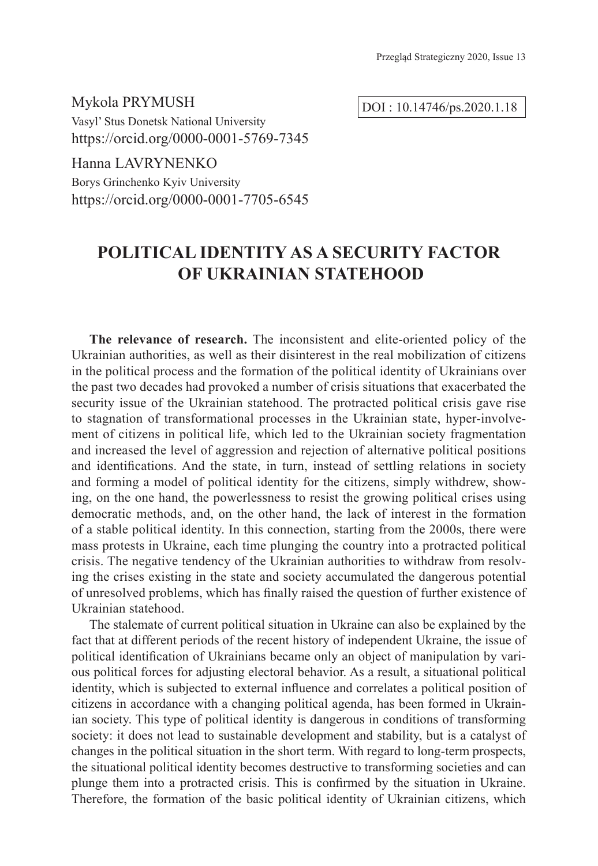Mykola PRYMUSH Vasyl' Stus Donetsk National University https://orcid.org/0000-0001-5769-7345

Hanna LAVRYNENKO

Borys Grinchenko Kyiv University https://orcid.org/0000-0001-7705-6545

# **POLITICAL IDENTITY AS A SECURITY FACTOR OF UKRAINIAN STATEHOOD**

**The relevance of research.** The inconsistent and elite-oriented policy of the Ukrainian authorities, as well as their disinterest in the real mobilization of citizens in the political process and the formation of the political identity of Ukrainians over the past two decades had provoked a number of crisis situations that exacerbated the security issue of the Ukrainian statehood. The protracted political crisis gave rise to stagnation of transformational processes in the Ukrainian state, hyper-involvement of citizens in political life, which led to the Ukrainian society fragmentation and increased the level of aggression and rejection of alternative political positions and identifications. And the state, in turn, instead of settling relations in society and forming a model of political identity for the citizens, simply withdrew, showing, on the one hand, the powerlessness to resist the growing political crises using democratic methods, and, on the other hand, the lack of interest in the formation of a stable political identity. In this connection, starting from the 2000s, there were mass protests in Ukraine, each time plunging the country into a protracted political crisis. The negative tendency of the Ukrainian authorities to withdraw from resolving the crises existing in the state and society accumulated the dangerous potential of unresolved problems, which has finally raised the question of further existence of Ukrainian statehood.

The stalemate of current political situation in Ukraine can also be explained by the fact that at different periods of the recent history of independent Ukraine, the issue of political identification of Ukrainians became only an object of manipulation by various political forces for adjusting electoral behavior. As a result, a situational political identity, which is subjected to external influence and correlates a political position of citizens in accordance with a changing political agenda, has been formed in Ukrainian society. This type of political identity is dangerous in conditions of transforming society: it does not lead to sustainable development and stability, but is a catalyst of changes in the political situation in the short term. With regard to long-term prospects, the situational political identity becomes destructive to transforming societies and can plunge them into a protracted crisis. This is confirmed by the situation in Ukraine. Therefore, the formation of the basic political identity of Ukrainian citizens, which

DOI : 10.14746/ps.2020.1.18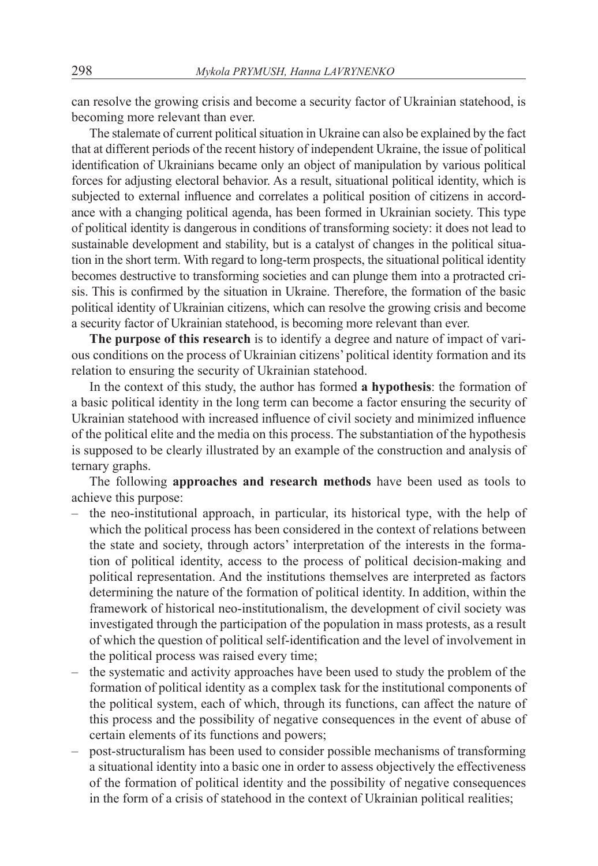can resolve the growing crisis and become a security factor of Ukrainian statehood, is becoming more relevant than ever.

The stalemate of current political situation in Ukraine can also be explained by the fact that at different periods of the recent history of independent Ukraine, the issue of political identification of Ukrainians became only an object of manipulation by various political forces for adjusting electoral behavior. As a result, situational political identity, which is subjected to external influence and correlates a political position of citizens in accordance with a changing political agenda, has been formed in Ukrainian society. This type of political identity is dangerous in conditions of transforming society: it does not lead to sustainable development and stability, but is a catalyst of changes in the political situation in the short term. With regard to long-term prospects, the situational political identity becomes destructive to transforming societies and can plunge them into a protracted crisis. This is confirmed by the situation in Ukraine. Therefore, the formation of the basic political identity of Ukrainian citizens, which can resolve the growing crisis and become a security factor of Ukrainian statehood, is becoming more relevant than ever.

**The purpose of this research** is to identify a degree and nature of impact of various conditions on the process of Ukrainian citizens' political identity formation and its relation to ensuring the security of Ukrainian statehood.

In the context of this study, the author has formed **a hypothesis**: the formation of a basic political identity in the long term can become a factor ensuring the security of Ukrainian statehood with increased influence of civil society and minimized influence of the political elite and the media on this process. The substantiation of the hypothesis is supposed to be clearly illustrated by an example of the construction and analysis of ternary graphs.

The following **approaches and research methods** have been used as tools to achieve this purpose:

- the neo-institutional approach, in particular, its historical type, with the help of which the political process has been considered in the context of relations between the state and society, through actors' interpretation of the interests in the formation of political identity, access to the process of political decision-making and political representation. And the institutions themselves are interpreted as factors determining the nature of the formation of political identity. In addition, within the framework of historical neo-institutionalism, the development of civil society was investigated through the participation of the population in mass protests, as a result of which the question of political self-identification and the level of involvement in the political process was raised every time;
- the systematic and activity approaches have been used to study the problem of the formation of political identity as a complex task for the institutional components of the political system, each of which, through its functions, can affect the nature of this process and the possibility of negative consequences in the event of abuse of certain elements of its functions and powers;
- post-structuralism has been used to consider possible mechanisms of transforming a situational identity into a basic one in order to assess objectively the effectiveness of the formation of political identity and the possibility of negative consequences in the form of a crisis of statehood in the context of Ukrainian political realities;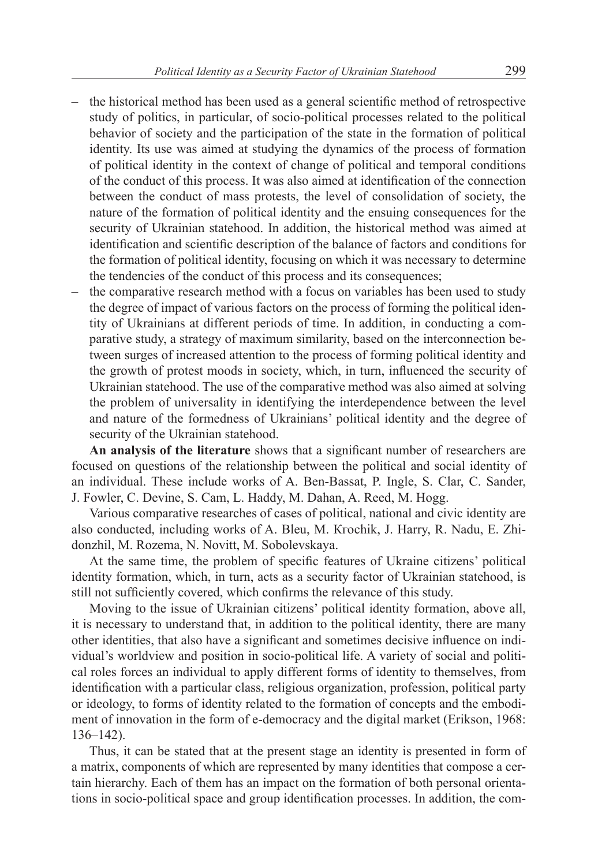- the historical method has been used as a general scientific method of retrospective study of politics, in particular, of socio-political processes related to the political behavior of society and the participation of the state in the formation of political identity. Its use was aimed at studying the dynamics of the process of formation of political identity in the context of change of political and temporal conditions of the conduct of this process. It was also aimed at identification of the connection between the conduct of mass protests, the level of consolidation of society, the nature of the formation of political identity and the ensuing consequences for the security of Ukrainian statehood. In addition, the historical method was aimed at identification and scientific description of the balance of factors and conditions for the formation of political identity, focusing on which it was necessary to determine the tendencies of the conduct of this process and its consequences;
- the comparative research method with a focus on variables has been used to study the degree of impact of various factors on the process of forming the political identity of Ukrainians at different periods of time. In addition, in conducting a comparative study, a strategy of maximum similarity, based on the interconnection between surges of increased attention to the process of forming political identity and the growth of protest moods in society, which, in turn, influenced the security of Ukrainian statehood. The use of the comparative method was also aimed at solving the problem of universality in identifying the interdependence between the level and nature of the formedness of Ukrainians' political identity and the degree of security of the Ukrainian statehood.

**An analysis of the literature** shows that a significant number of researchers are focused on questions of the relationship between the political and social identity of an individual. These include works of A. Ben-Bassat, P. Ingle, S. Clar, C. Sander, J. Fowler, C. Devine, S. Cam, L. Haddy, M. Dahan, A. Reed, M. Hogg.

Various comparative researches of cases of political, national and civic identity are also conducted, including works of A. Bleu, M. Кгосhik, J. Harry, R. Nadu, E. Zhidonzhil, M. Rozema, N. Novitt, M. Sobolevskaya.

At the same time, the problem of specific features of Ukraine citizens' political identity formation, which, in turn, acts as a security factor of Ukrainian statehood, is still not sufficiently covered, which confirms the relevance of this study.

Moving to the issue of Ukrainian citizens' political identity formation, above all, it is necessary to understand that, in addition to the political identity, there are many other identities, that also have a significant and sometimes decisive influence on individual's worldview and position in socio-political life. A variety of social and political roles forces an individual to apply different forms of identity to themselves, from identification with a particular class, religious organization, profession, political party or ideology, to forms of identity related to the formation of concepts and the embodiment of innovation in the form of e-democracy and the digital market (Erikson, 1968: 136–142).

Thus, it can be stated that at the present stage an identity is presented in form of a matrix, components of which are represented by many identities that compose a certain hierarchy. Each of them has an impact on the formation of both personal orientations in socio-political space and group identification processes. In addition, the com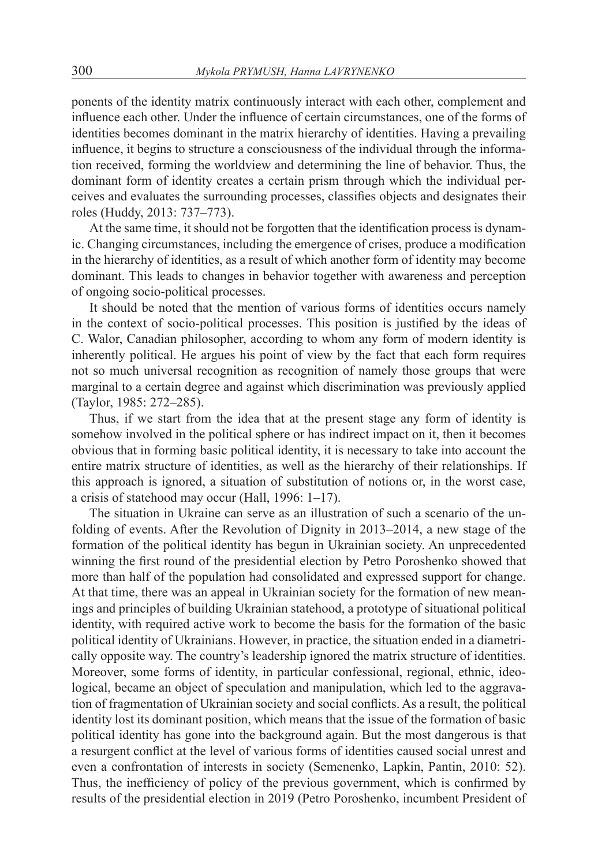ponents of the identity matrix continuously interact with each other, complement and influence each other. Under the influence of certain circumstances, one of the forms of identities becomes dominant in the matrix hierarchy of identities. Having a prevailing influence, it begins to structure a consciousness of the individual through the information received, forming the worldview and determining the line of behavior. Thus, the dominant form of identity creates a certain prism through which the individual perceives and evaluates the surrounding processes, classifies objects and designates their roles (Huddy, 2013: 737–773).

At the same time, it should not be forgotten that the identification process is dynamic. Changing circumstances, including the emergence of crises, produce a modification in the hierarchy of identities, as a result of which another form of identity may become dominant. This leads to changes in behavior together with awareness and perception of ongoing socio-political processes.

It should be noted that the mention of various forms of identities occurs namely in the context of socio-political processes. This position is justified by the ideas of C. Walor, Canadian philosopher, according to whom any form of modern identity is inherently political. He argues his point of view by the fact that each form requires not so much universal recognition as recognition of namely those groups that were marginal to a certain degree and against which discrimination was previously applied (Taylor, 1985: 272–285).

Thus, if we start from the idea that at the present stage any form of identity is somehow involved in the political sphere or has indirect impact on it, then it becomes obvious that in forming basic political identity, it is necessary to take into account the entire matrix structure of identities, as well as the hierarchy of their relationships. If this approach is ignored, a situation of substitution of notions or, in the worst case, a crisis of statehood may occur (Hall, 1996: 1–17).

The situation in Ukraine can serve as an illustration of such a scenario of the unfolding of events. After the Revolution of Dignity in 2013–2014, a new stage of the formation of the political identity has begun in Ukrainian society. An unprecedented winning the first round of the presidential election by Petro Poroshenko showed that more than half of the population had consolidated and expressed support for change. At that time, there was an appeal in Ukrainian society for the formation of new meanings and principles of building Ukrainian statehood, a prototype of situational political identity, with required active work to become the basis for the formation of the basic political identity of Ukrainians. However, in practice, the situation ended in a diametrically opposite way. The country's leadership ignored the matrix structure of identities. Moreover, some forms of identity, in particular confessional, regional, ethnic, ideological, became an object of speculation and manipulation, which led to the aggravation of fragmentation of Ukrainian society and social conflicts. As a result, the political identity lost its dominant position, which means that the issue of the formation of basic political identity has gone into the background again. But the most dangerous is that a resurgent conflict at the level of various forms of identities caused social unrest and even a confrontation of interests in society (Semenenko, Lapkin, Pantin, 2010: 52). Thus, the inefficiency of policy of the previous government, which is confirmed by results of the presidential election in 2019 (Petro Poroshenko, incumbent President of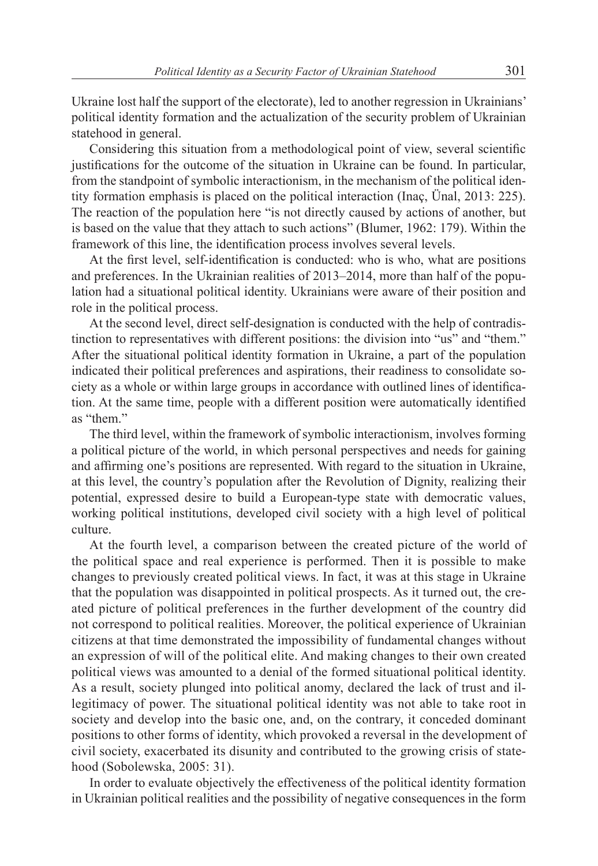Ukraine lost half the support of the electorate), led to another regression in Ukrainians' political identity formation and the actualization of the security problem of Ukrainian statehood in general.

Considering this situation from a methodological point of view, several scientific justifications for the outcome of the situation in Ukraine can be found. In particular, from the standpoint of symbolic interactionism, in the mechanism of the political identity formation emphasis is placed on the political interaction (Inaç, Ünal, 2013: 225). The reaction of the population here "is not directly caused by actions of another, but is based on the value that they attach to such actions" (Blumer, 1962: 179). Within the framework of this line, the identification process involves several levels.

At the first level, self-identification is conducted: who is who, what are positions and preferences. In the Ukrainian realities of 2013–2014, more than half of the population had a situational political identity. Ukrainians were aware of their position and role in the political process.

At the second level, direct self-designation is conducted with the help of contradistinction to representatives with different positions: the division into "us" and "them." After the situational political identity formation in Ukraine, a part of the population indicated their political preferences and aspirations, their readiness to consolidate society as a whole or within large groups in accordance with outlined lines of identification. At the same time, people with a different position were automatically identified as "them."

The third level, within the framework of symbolic interactionism, involves forming a political picture of the world, in which personal perspectives and needs for gaining and affirming one's positions are represented. With regard to the situation in Ukraine, at this level, the country's population after the Revolution of Dignity, realizing their potential, expressed desire to build a European-type state with democratic values, working political institutions, developed civil society with a high level of political culture.

At the fourth level, a comparison between the created picture of the world of the political space and real experience is performed. Then it is possible to make changes to previously created political views. In fact, it was at this stage in Ukraine that the population was disappointed in political prospects. As it turned out, the created picture of political preferences in the further development of the country did not correspond to political realities. Moreover, the political experience of Ukrainian citizens at that time demonstrated the impossibility of fundamental changes without an expression of will of the political elite. And making changes to their own created political views was amounted to a denial of the formed situational political identity. As a result, society plunged into political anomy, declared the lack of trust and illegitimacy of power. The situational political identity was not able to take root in society and develop into the basic one, and, on the contrary, it conceded dominant positions to other forms of identity, which provoked a reversal in the development of civil society, exacerbated its disunity and contributed to the growing crisis of statehood (Sobolewska, 2005: 31).

In order to evaluate objectively the effectiveness of the political identity formation in Ukrainian political realities and the possibility of negative consequences in the form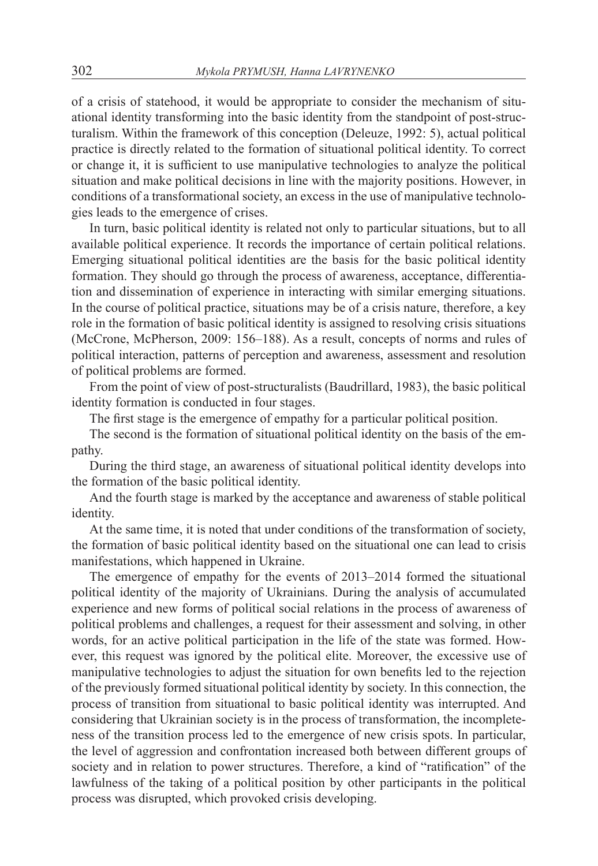of a crisis of statehood, it would be appropriate to consider the mechanism of situational identity transforming into the basic identity from the standpoint of post-structuralism. Within the framework of this conception (Deleuze, 1992: 5), actual political practice is directly related to the formation of situational political identity. To correct or change it, it is sufficient to use manipulative technologies to analyze the political situation and make political decisions in line with the majority positions. However, in conditions of a transformational society, an excess in the use of manipulative technologies leads to the emergence of crises.

In turn, basic political identity is related not only to particular situations, but to all available political experience. It records the importance of certain political relations. Emerging situational political identities are the basis for the basic political identity formation. They should go through the process of awareness, acceptance, differentiation and dissemination of experience in interacting with similar emerging situations. In the course of political practice, situations may be of a crisis nature, therefore, a key role in the formation of basic political identity is assigned to resolving crisis situations (McCrone, McPherson, 2009: 156–188). As a result, concepts of norms and rules of political interaction, patterns of perception and awareness, assessment and resolution of political problems are formed.

From the point of view of post-structuralists (Baudrillard, 1983), the basic political identity formation is conducted in four stages.

The first stage is the emergence of empathy for a particular political position.

The second is the formation of situational political identity on the basis of the empathy.

During the third stage, an awareness of situational political identity develops into the formation of the basic political identity.

And the fourth stage is marked by the acceptance and awareness of stable political identity.

At the same time, it is noted that under conditions of the transformation of society, the formation of basic political identity based on the situational one can lead to crisis manifestations, which happened in Ukraine.

The emergence of empathy for the events of 2013–2014 formed the situational political identity of the majority of Ukrainians. During the analysis of accumulated experience and new forms of political social relations in the process of awareness of political problems and challenges, a request for their assessment and solving, in other words, for an active political participation in the life of the state was formed. However, this request was ignored by the political elite. Moreover, the excessive use of manipulative technologies to adjust the situation for own benefits led to the rejection of the previously formed situational political identity by society. In this connection, the process of transition from situational to basic political identity was interrupted. And considering that Ukrainian society is in the process of transformation, the incompleteness of the transition process led to the emergence of new crisis spots. In particular, the level of aggression and confrontation increased both between different groups of society and in relation to power structures. Therefore, a kind of "ratification" of the lawfulness of the taking of a political position by other participants in the political process was disrupted, which provoked crisis developing.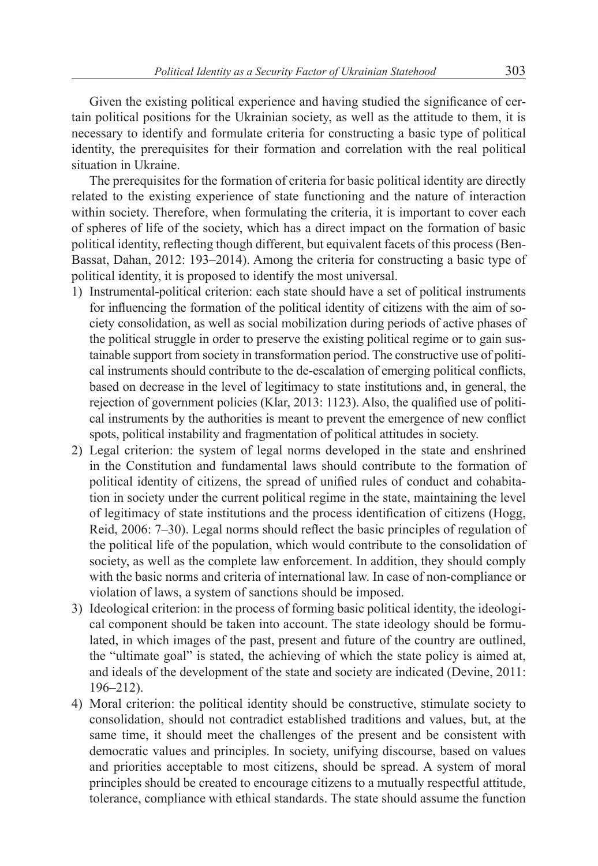Given the existing political experience and having studied the significance of certain political positions for the Ukrainian society, as well as the attitude to them, it is necessary to identify and formulate criteria for constructing a basic type of political identity, the prerequisites for their formation and correlation with the real political situation in Ukraine.

The prerequisites for the formation of criteria for basic political identity are directly related to the existing experience of state functioning and the nature of interaction within society. Therefore, when formulating the criteria, it is important to cover each of spheres of life of the society, which has a direct impact on the formation of basic political identity, reflecting though different, but equivalent facets of this process (Ben-Bassat, Dahan, 2012: 193–2014). Among the criteria for constructing a basic type of political identity, it is proposed to identify the most universal.

- 1) Instrumental-political criterion: each state should have a set of political instruments for influencing the formation of the political identity of citizens with the aim of society consolidation, as well as social mobilization during periods of active phases of the political struggle in order to preserve the existing political regime or to gain sustainable support from society in transformation period. The constructive use of political instruments should contribute to the de-escalation of emerging political conflicts, based on decrease in the level of legitimacy to state institutions and, in general, the rejection of government policies (Klar, 2013: 1123). Also, the qualified use of political instruments by the authorities is meant to prevent the emergence of new conflict spots, political instability and fragmentation of political attitudes in society.
- 2) Legal criterion: the system of legal norms developed in the state and enshrined in the Constitution and fundamental laws should contribute to the formation of political identity of citizens, the spread of unified rules of conduct and cohabitation in society under the current political regime in the state, maintaining the level of legitimacy of state institutions and the process identification of citizens (Hogg, Reid, 2006: 7–30). Legal norms should reflect the basic principles of regulation of the political life of the population, which would contribute to the consolidation of society, as well as the complete law enforcement. In addition, they should comply with the basic norms and criteria of international law. In case of non-compliance or violation of laws, a system of sanctions should be imposed.
- 3) Ideological criterion: in the process of forming basic political identity, the ideological component should be taken into account. The state ideology should be formulated, in which images of the past, present and future of the country are outlined, the "ultimate goal" is stated, the achieving of which the state policy is aimed at, and ideals of the development of the state and society are indicated (Devine, 2011: 196–212).
- 4) Moral criterion: the political identity should be constructive, stimulate society to consolidation, should not contradict established traditions and values, but, at the same time, it should meet the challenges of the present and be consistent with democratic values and principles. In society, unifying discourse, based on values and priorities acceptable to most citizens, should be spread. A system of moral principles should be created to encourage citizens to a mutually respectful attitude, tolerance, compliance with ethical standards. The state should assume the function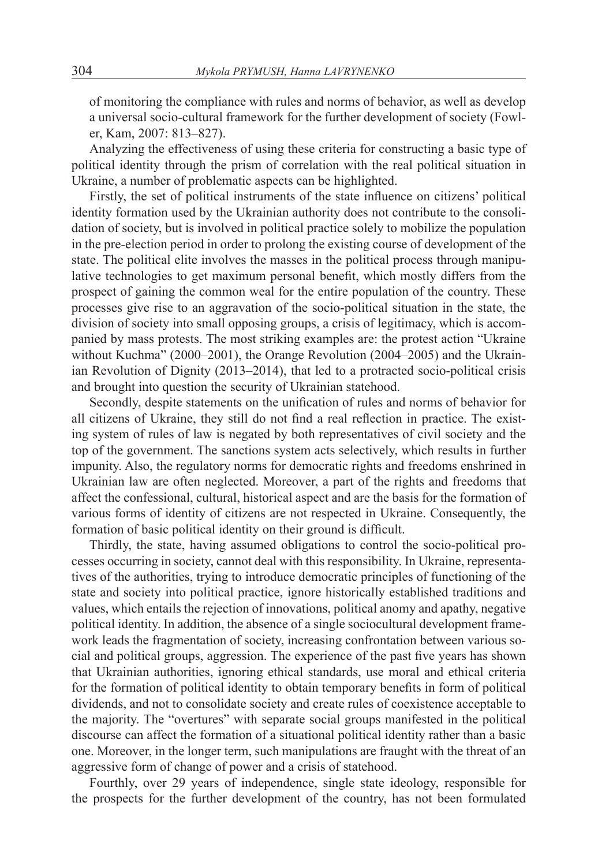of monitoring the compliance with rules and norms of behavior, as well as develop a universal socio-cultural framework for the further development of society (Fowler, Kam, 2007: 813–827).

Analyzing the effectiveness of using these criteria for constructing a basic type of political identity through the prism of correlation with the real political situation in Ukraine, a number of problematic aspects can be highlighted.

Firstly, the set of political instruments of the state influence on citizens' political identity formation used by the Ukrainian authority does not contribute to the consolidation of society, but is involved in political practice solely to mobilize the population in the pre-election period in order to prolong the existing course of development of the state. The political elite involves the masses in the political process through manipulative technologies to get maximum personal benefit, which mostly differs from the prospect of gaining the common weal for the entire population of the country. These processes give rise to an aggravation of the socio-political situation in the state, the division of society into small opposing groups, a crisis of legitimacy, which is accompanied by mass protests. The most striking examples are: the protest action "Ukraine without Kuchma" (2000–2001), the Orange Revolution (2004–2005) and the Ukrainian Revolution of Dignity (2013–2014), that led to a protracted socio-political crisis and brought into question the security of Ukrainian statehood.

Secondly, despite statements on the unification of rules and norms of behavior for all citizens of Ukraine, they still do not find a real reflection in practice. The existing system of rules of law is negated by both representatives of civil society and the top of the government. The sanctions system acts selectively, which results in further impunity. Also, the regulatory norms for democratic rights and freedoms enshrined in Ukrainian law are often neglected. Moreover, a part of the rights and freedoms that affect the confessional, cultural, historical aspect and are the basis for the formation of various forms of identity of citizens are not respected in Ukraine. Consequently, the formation of basic political identity on their ground is difficult.

Thirdly, the state, having assumed obligations to control the socio-political processes occurring in society, cannot deal with this responsibility. In Ukraine, representatives of the authorities, trying to introduce democratic principles of functioning of the state and society into political practice, ignore historically established traditions and values, which entails the rejection of innovations, political anomy and apathy, negative political identity. In addition, the absence of a single sociocultural development framework leads the fragmentation of society, increasing confrontation between various social and political groups, aggression. The experience of the past five years has shown that Ukrainian authorities, ignoring ethical standards, use moral and ethical criteria for the formation of political identity to obtain temporary benefits in form of political dividends, and not to consolidate society and create rules of coexistence acceptable to the majority. The "overtures" with separate social groups manifested in the political discourse can affect the formation of a situational political identity rather than a basic one. Moreover, in the longer term, such manipulations are fraught with the threat of an aggressive form of change of power and a crisis of statehood.

Fourthly, over 29 years of independence, single state ideology, responsible for the prospects for the further development of the country, has not been formulated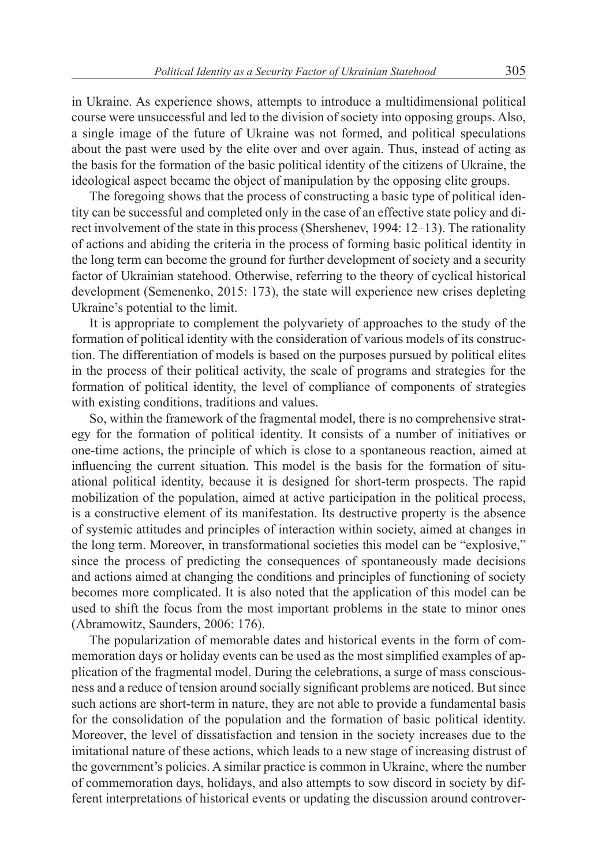in Ukraine. As experience shows, attempts to introduce a multidimensional political course were unsuccessful and led to the division of society into opposing groups. Also, a single image of the future of Ukraine was not formed, and political speculations about the past were used by the elite over and over again. Thus, instead of acting as the basis for the formation of the basic political identity of the citizens of Ukraine, the ideological aspect became the object of manipulation by the opposing elite groups.

The foregoing shows that the process of constructing a basic type of political identity can be successful and completed only in the case of an effective state policy and direct involvement of the state in this process (Shershenev, 1994: 12–13). The rationality of actions and abiding the criteria in the process of forming basic political identity in the long term can become the ground for further development of society and a security factor of Ukrainian statehood. Otherwise, referring to the theory of cyclical historical development (Semenenko, 2015: 173), the state will experience new crises depleting Ukraine's potential to the limit.

It is appropriate to complement the polyvariety of approaches to the study of the formation of political identity with the consideration of various models of its construction. The differentiation of models is based on the purposes pursued by political elites in the process of their political activity, the scale of programs and strategies for the formation of political identity, the level of compliance of components of strategies with existing conditions, traditions and values.

So, within the framework of the fragmental model, there is no comprehensive strategy for the formation of political identity. It consists of a number of initiatives or one-time actions, the principle of which is close to a spontaneous reaction, aimed at influencing the current situation. This model is the basis for the formation of situational political identity, because it is designed for short-term prospects. The rapid mobilization of the population, aimed at active participation in the political process, is a constructive element of its manifestation. Its destructive property is the absence of systemic attitudes and principles of interaction within society, aimed at changes in the long term. Moreover, in transformational societies this model can be "explosive," since the process of predicting the consequences of spontaneously made decisions and actions aimed at changing the conditions and principles of functioning of society becomes more complicated. It is also noted that the application of this model can be used to shift the focus from the most important problems in the state to minor ones (Abramowitz, Saunders, 2006: 176).

The popularization of memorable dates and historical events in the form of commemoration days or holiday events can be used as the most simplified examples of application of the fragmental model. During the celebrations, a surge of mass consciousness and a reduce of tension around socially significant problems are noticed. But since such actions are short-term in nature, they are not able to provide a fundamental basis for the consolidation of the population and the formation of basic political identity. Moreover, the level of dissatisfaction and tension in the society increases due to the imitational nature of these actions, which leads to a new stage of increasing distrust of the government's policies. A similar practice is common in Ukraine, where the number of commemoration days, holidays, and also attempts to sow discord in society by different interpretations of historical events or updating the discussion around controver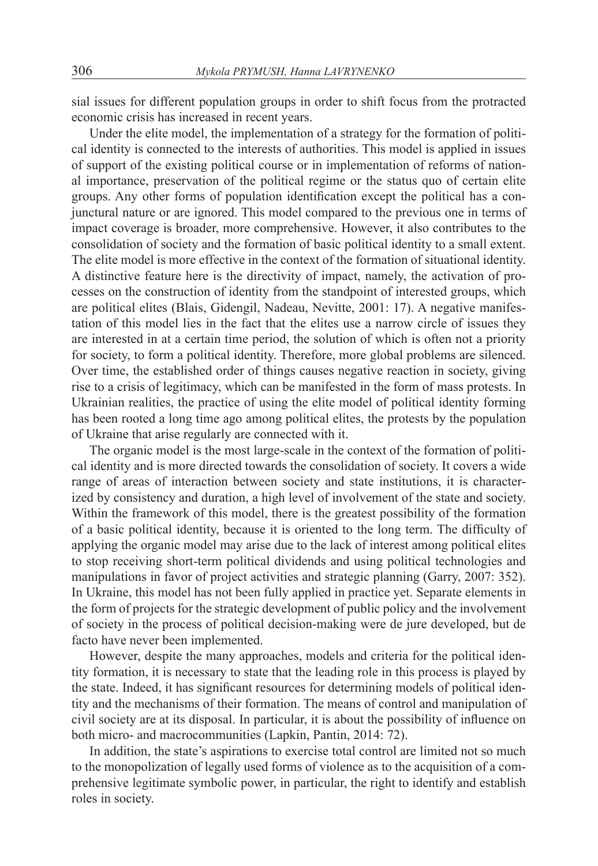sial issues for different population groups in order to shift focus from the protracted economic crisis has increased in recent years.

Under the elite model, the implementation of a strategy for the formation of political identity is connected to the interests of authorities. This model is applied in issues of support of the existing political course or in implementation of reforms of national importance, preservation of the political regime or the status quo of certain elite groups. Any other forms of population identification except the political has a conjunctural nature or are ignored. This model compared to the previous one in terms of impact coverage is broader, more comprehensive. However, it also contributes to the consolidation of society and the formation of basic political identity to a small extent. The elite model is more effective in the context of the formation of situational identity. A distinctive feature here is the directivity of impact, namely, the activation of processes on the construction of identity from the standpoint of interested groups, which are political elites (Blais, Gidengil, Nadeau, Nevitte, 2001: 17). A negative manifestation of this model lies in the fact that the elites use a narrow circle of issues they are interested in at a certain time period, the solution of which is often not a priority for society, to form a political identity. Therefore, more global problems are silenced. Over time, the established order of things causes negative reaction in society, giving rise to a crisis of legitimacy, which can be manifested in the form of mass protests. In Ukrainian realities, the practice of using the elite model of political identity forming has been rooted a long time ago among political elites, the protests by the population of Ukraine that arise regularly are connected with it.

The organic model is the most large-scale in the context of the formation of political identity and is more directed towards the consolidation of society. It covers a wide range of areas of interaction between society and state institutions, it is characterized by consistency and duration, a high level of involvement of the state and society. Within the framework of this model, there is the greatest possibility of the formation of a basic political identity, because it is oriented to the long term. The difficulty of applying the organic model may arise due to the lack of interest among political elites to stop receiving short-term political dividends and using political technologies and manipulations in favor of project activities and strategic planning (Garry, 2007: 352). In Ukraine, this model has not been fully applied in practice yet. Separate elements in the form of projects for the strategic development of public policy and the involvement of society in the process of political decision-making were de jure developed, but de facto have never been implemented.

However, despite the many approaches, models and criteria for the political identity formation, it is necessary to state that the leading role in this process is played by the state. Indeed, it has significant resources for determining models of political identity and the mechanisms of their formation. The means of control and manipulation of civil society are at its disposal. In particular, it is about the possibility of influence on both micro- and macrocommunities (Lapkin, Pantin, 2014: 72).

In addition, the state's aspirations to exercise total control are limited not so much to the monopolization of legally used forms of violence as to the acquisition of a comprehensive legitimate symbolic power, in particular, the right to identify and establish roles in society.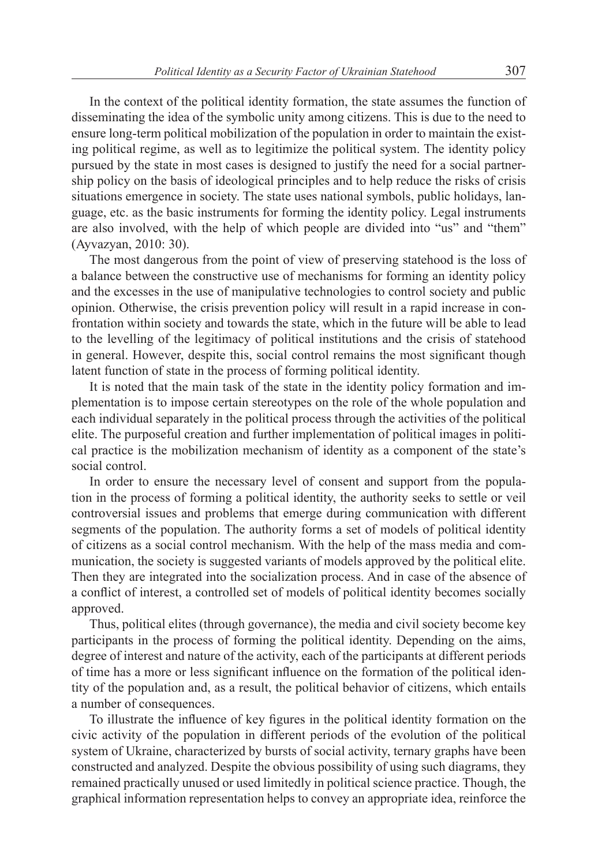In the context of the political identity formation, the state assumes the function of disseminating the idea of the symbolic unity among citizens. This is due to the need to ensure long-term political mobilization of the population in order to maintain the existing political regime, as well as to legitimize the political system. The identity policy pursued by the state in most cases is designed to justify the need for a social partnership policy on the basis of ideological principles and to help reduce the risks of crisis situations emergence in society. The state uses national symbols, public holidays, language, etc. as the basic instruments for forming the identity policy. Legal instruments are also involved, with the help of which people are divided into "us" and "them" (Ayvazyan, 2010: 30).

The most dangerous from the point of view of preserving statehood is the loss of a balance between the constructive use of mechanisms for forming an identity policy and the excesses in the use of manipulative technologies to control society and public opinion. Otherwise, the crisis prevention policy will result in a rapid increase in confrontation within society and towards the state, which in the future will be able to lead to the levelling of the legitimacy of political institutions and the crisis of statehood in general. However, despite this, social control remains the most significant though latent function of state in the process of forming political identity.

It is noted that the main task of the state in the identity policy formation and implementation is to impose certain stereotypes on the role of the whole population and each individual separately in the political process through the activities of the political elite. The purposeful creation and further implementation of political images in political practice is the mobilization mechanism of identity as a component of the state's social control.

In order to ensure the necessary level of consent and support from the population in the process of forming a political identity, the authority seeks to settle or veil controversial issues and problems that emerge during communication with different segments of the population. The authority forms a set of models of political identity of citizens as a social control mechanism. With the help of the mass media and communication, the society is suggested variants of models approved by the political elite. Then they are integrated into the socialization process. And in case of the absence of a conflict of interest, a controlled set of models of political identity becomes socially approved.

Thus, political elites (through governance), the media and civil society become key participants in the process of forming the political identity. Depending on the aims, degree of interest and nature of the activity, each of the participants at different periods of time has a more or less significant influence on the formation of the political identity of the population and, as a result, the political behavior of citizens, which entails a number of consequences.

To illustrate the influence of key figures in the political identity formation on the civic activity of the population in different periods of the evolution of the political system of Ukraine, characterized by bursts of social activity, ternary graphs have been constructed and analyzed. Despite the obvious possibility of using such diagrams, they remained practically unused or used limitedly in political science practice. Though, the graphical information representation helps to convey an appropriate idea, reinforce the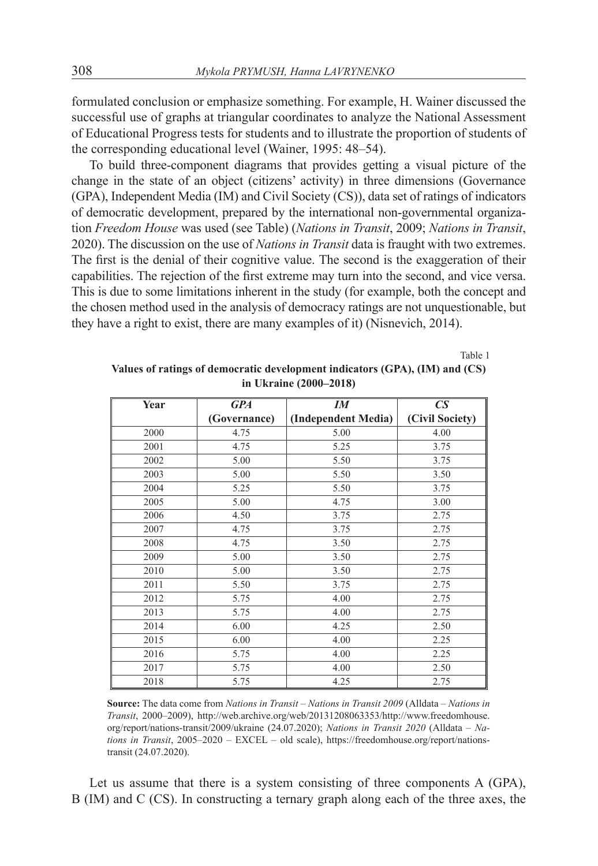formulated conclusion or emphasize something. For example, H. Wainer discussed the successful use of graphs at triangular coordinates to analyze the National Assessment of Educational Progress tests for students and to illustrate the proportion of students of the corresponding educational level (Wainer, 1995: 48–54).

To build three-component diagrams that provides getting a visual picture of the change in the state of an object (citizens' activity) in three dimensions (Governance (GPA), Independent Media (IM) and Civil Society (CS)), data set of ratings of indicators of democratic development, prepared by the international non-governmental organization *Freedom House* was used (see Table) (*Nations in Transit*, 2009; *Nations in Transit*, 2020). The discussion on the use of *Nations in Transit* data is fraught with two extremes. The first is the denial of their cognitive value. The second is the exaggeration of their capabilities. The rejection of the first extreme may turn into the second, and vice versa. This is due to some limitations inherent in the study (for example, both the concept and the chosen method used in the analysis of democracy ratings are not unquestionable, but they have a right to exist, there are many examples of it) (Nisnevich, 2014).

Table 1

| Year | <b>GPA</b>   | $I\!M$              | $\mathbb{C}S$   |
|------|--------------|---------------------|-----------------|
|      | (Governance) | (Independent Media) | (Civil Society) |
| 2000 | 4.75         | 5.00                | 4.00            |
| 2001 | 4.75         | 5.25                | 3.75            |
| 2002 | 5.00         | 5.50                | 3.75            |
| 2003 | 5.00         | 5.50                | 3.50            |
| 2004 | 5.25         | 5.50                | 3.75            |
| 2005 | 5.00         | 4.75                | 3.00            |
| 2006 | 4.50         | 3.75                | 2.75            |
| 2007 | 4.75         | 3.75                | 2.75            |
| 2008 | 4.75         | 3.50                | 2.75            |
| 2009 | 5.00         | 3.50                | 2.75            |
| 2010 | 5.00         | 3.50                | 2.75            |
| 2011 | 5.50         | 3.75                | 2.75            |
| 2012 | 5.75         | 4.00                | 2.75            |
| 2013 | 5.75         | 4.00                | 2.75            |
| 2014 | 6.00         | 4.25                | 2.50            |
| 2015 | 6.00         | 4.00                | 2.25            |
| 2016 | 5.75         | 4.00                | 2.25            |
| 2017 | 5.75         | 4.00                | 2.50            |
| 2018 | 5.75         | 4.25                | 2.75            |

**Values of ratings of democratic development indicators (GPA), (IM) and (CS) in Ukraine (2000–2018)**

**Source:** The data come from *Nations in Transit – Nations in Transit 2009* (Alldata – *Nations in Transit*, 2000–2009), http://web.archive.org/web/20131208063353/http://www.freedomhouse. org/report/nations-transit/2009/ukraine (24.07.2020); *Nations in Transit 2020* (Alldata – *Nations in Transit*, 2005–2020 – EXCEL – old scale), https://freedomhouse.org/report/nationstransit (24.07.2020).

Let us assume that there is a system consisting of three components A (GPA), B (IM) and C (CS). In constructing a ternary graph along each of the three axes, the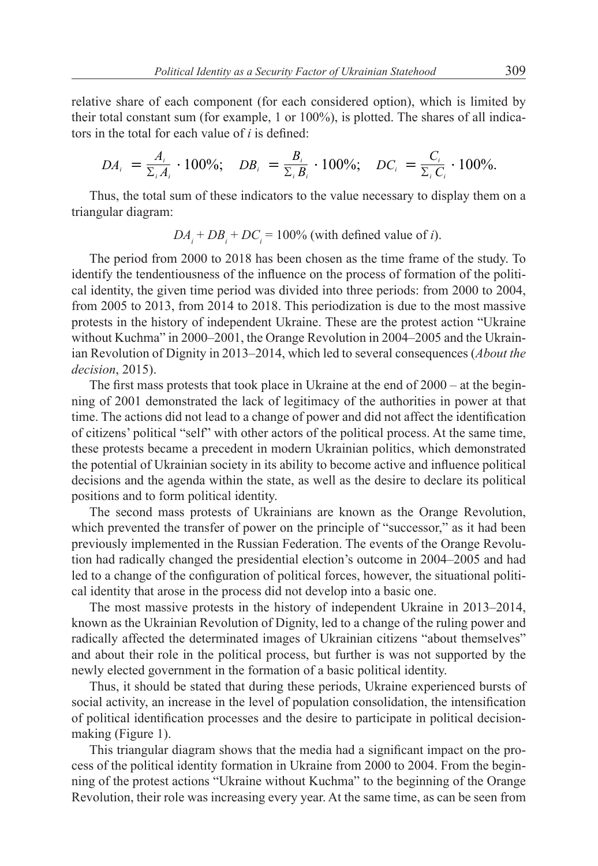relative share of each component (for each considered option), which is limited by their total constant sum (for example, 1 or 100%), is plotted. The shares of all indicators in the total for each value of *i* is defined:

$$
DA_i = \frac{A_i}{\Sigma_i A_i} \cdot 100\%; \quad DB_i = \frac{B_i}{\Sigma_i B_i} \cdot 100\%; \quad DC_i = \frac{C_i}{\Sigma_i C_i} \cdot 100\%.
$$

Thus, the total sum of these indicators to the value necessary to display them on a triangular diagram:

$$
DA_i + DB_i + DC_i = 100\% \text{ (with defined value of } i\text{)}.
$$

The period from 2000 to 2018 has been chosen as the time frame of the study. To identify the tendentiousness of the influence on the process of formation of the political identity, the given time period was divided into three periods: from 2000 to 2004, from 2005 to 2013, from 2014 to 2018. This periodization is due to the most massive protests in the history of independent Ukraine. These are the protest action "Ukraine without Kuchma" in 2000–2001, the Orange Revolution in 2004–2005 and the Ukrainian Revolution of Dignity in 2013–2014, which led to several consequences (*About the decision*, 2015).

The first mass protests that took place in Ukraine at the end of 2000 – at the beginning of 2001 demonstrated the lack of legitimacy of the authorities in power at that time. The actions did not lead to a change of power and did not affect the identification of citizens' political "self" with other actors of the political process. At the same time, these protests became a precedent in modern Ukrainian politics, which demonstrated the potential of Ukrainian society in its ability to become active and influence political decisions and the agenda within the state, as well as the desire to declare its political positions and to form political identity.

The second mass protests of Ukrainians are known as the Orange Revolution, which prevented the transfer of power on the principle of "successor," as it had been previously implemented in the Russian Federation. The events of the Orange Revolution had radically changed the presidential election's outcome in 2004–2005 and had led to a change of the configuration of political forces, however, the situational political identity that arose in the process did not develop into a basic one.

The most massive protests in the history of independent Ukraine in 2013–2014, known as the Ukrainian Revolution of Dignity, led to a change of the ruling power and radically affected the determinated images of Ukrainian citizens "about themselves" and about their role in the political process, but further is was not supported by the newly elected government in the formation of a basic political identity.

Thus, it should be stated that during these periods, Ukraine experienced bursts of social activity, an increase in the level of population consolidation, the intensification of political identification processes and the desire to participate in political decisionmaking (Figure 1).

This triangular diagram shows that the media had a significant impact on the process of the political identity formation in Ukraine from 2000 to 2004. From the beginning of the protest actions "Ukraine without Kuchma" to the beginning of the Orange Revolution, their role was increasing every year. At the same time, as can be seen from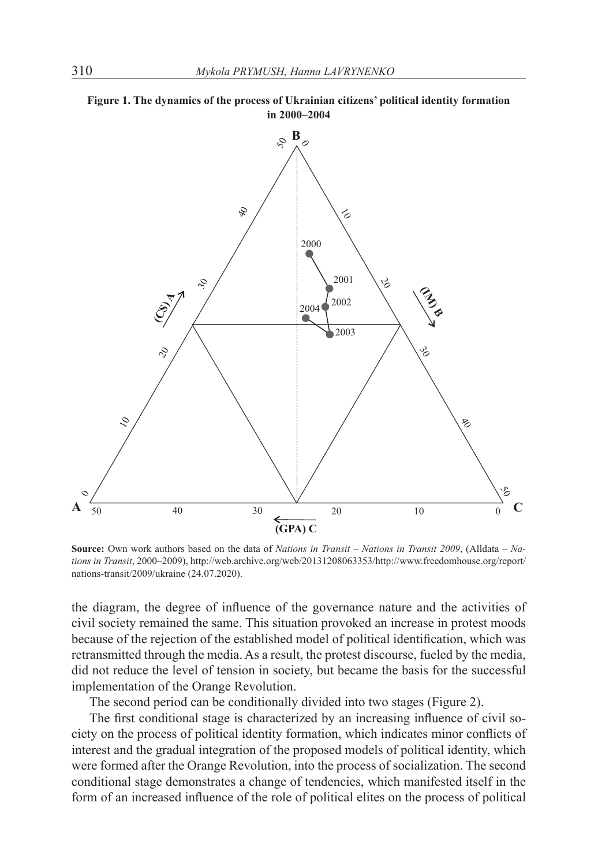



**Source:** Own work authors based on the data of *Nations in Transit – Nations in Transit 2009*, (Alldata – *Nations in Transit*, 2000–2009), http://web.archive.org/web/20131208063353/http://www.freedomhouse.org/report/ nations-transit/2009/ukraine (24.07.2020).

the diagram, the degree of influence of the governance nature and the activities of civil society remained the same. This situation provoked an increase in protest moods because of the rejection of the established model of political identification, which was retransmitted through the media. As a result, the protest discourse, fueled by the media, did not reduce the level of tension in society, but became the basis for the successful implementation of the Orange Revolution.

The second period can be conditionally divided into two stages (Figure 2).

The first conditional stage is characterized by an increasing influence of civil society on the process of political identity formation, which indicates minor conflicts of interest and the gradual integration of the proposed models of political identity, which were formed after the Orange Revolution, into the process of socialization. The second conditional stage demonstrates a change of tendencies, which manifested itself in the form of an increased influence of the role of political elites on the process of political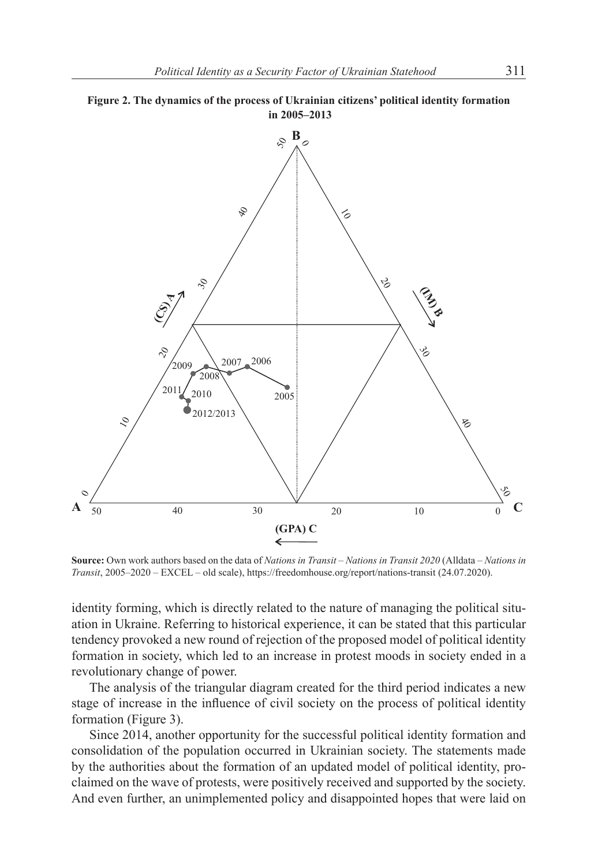



**Source:** Own work authors based on the data of *Nations in Transit – Nations in Transit 2020* (Alldata – *Nations in Transit*, 2005–2020 – EXCEL – old scale), https://freedomhouse.org/report/nations-transit (24.07.2020).

identity forming, which is directly related to the nature of managing the political situation in Ukraine. Referring to historical experience, it can be stated that this particular tendency provoked a new round of rejection of the proposed model of political identity formation in society, which led to an increase in protest moods in society ended in a revolutionary change of power.

The analysis of the triangular diagram created for the third period indicates a new stage of increase in the influence of civil society on the process of political identity formation (Figure 3).

Since 2014, another opportunity for the successful political identity formation and consolidation of the population occurred in Ukrainian society. The statements made by the authorities about the formation of an updated model of political identity, proclaimed on the wave of protests, were positively received and supported by the society. And even further, an unimplemented policy and disappointed hopes that were laid on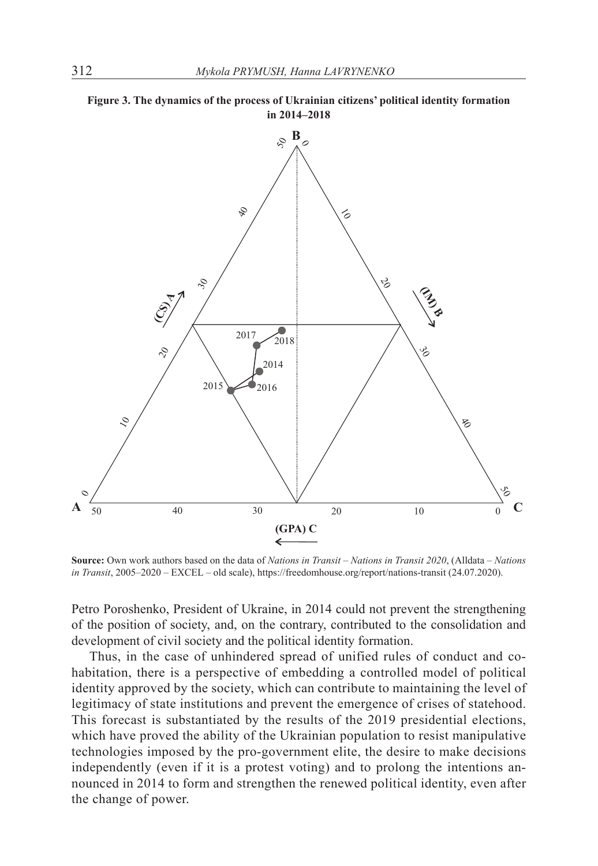



**Source:** Own work authors based on the data of *Nations in Transit – Nations in Transit 2020*, (Alldata – *Nations in Transit*, 2005–2020 – EXCEL – old scale), https://freedomhouse.org/report/nations-transit (24.07.2020).

Petro Poroshenko, President of Ukraine, in 2014 could not prevent the strengthening of the position of society, and, on the contrary, contributed to the consolidation and development of civil society and the political identity formation.

Thus, in the case of unhindered spread of unified rules of conduct and cohabitation, there is a perspective of embedding a controlled model of political identity approved by the society, which can contribute to maintaining the level of legitimacy of state institutions and prevent the emergence of crises of statehood. This forecast is substantiated by the results of the 2019 presidential elections, which have proved the ability of the Ukrainian population to resist manipulative technologies imposed by the pro-government elite, the desire to make decisions independently (even if it is a protest voting) and to prolong the intentions announced in 2014 to form and strengthen the renewed political identity, even after the change of power.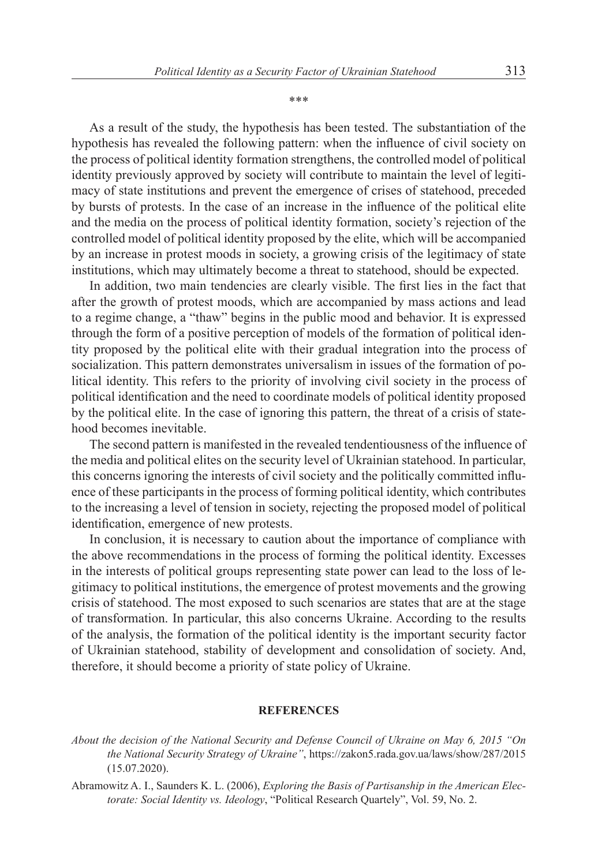\*\*\*

As a result of the study, the hypothesis has been tested. The substantiation of the hypothesis has revealed the following pattern: when the influence of civil society on the process of political identity formation strengthens, the controlled model of political identity previously approved by society will contribute to maintain the level of legitimacy of state institutions and prevent the emergence of crises of statehood, preceded by bursts of protests. In the case of an increase in the influence of the political elite and the media on the process of political identity formation, society's rejection of the controlled model of political identity proposed by the elite, which will be accompanied by an increase in protest moods in society, a growing crisis of the legitimacy of state institutions, which may ultimately become a threat to statehood, should be expected.

In addition, two main tendencies are clearly visible. The first lies in the fact that after the growth of protest moods, which are accompanied by mass actions and lead to a regime change, a "thaw" begins in the public mood and behavior. It is expressed through the form of a positive perception of models of the formation of political identity proposed by the political elite with their gradual integration into the process of socialization. This pattern demonstrates universalism in issues of the formation of political identity. This refers to the priority of involving civil society in the process of political identification and the need to coordinate models of political identity proposed by the political elite. In the case of ignoring this pattern, the threat of a crisis of statehood becomes inevitable.

The second pattern is manifested in the revealed tendentiousness of the influence of the media and political elites on the security level of Ukrainian statehood. In particular, this concerns ignoring the interests of civil society and the politically committed influence of these participants in the process of forming political identity, which contributes to the increasing a level of tension in society, rejecting the proposed model of political identification, emergence of new protests.

In conclusion, it is necessary to caution about the importance of compliance with the above recommendations in the process of forming the political identity. Excesses in the interests of political groups representing state power can lead to the loss of legitimacy to political institutions, the emergence of protest movements and the growing crisis of statehood. The most exposed to such scenarios are states that are at the stage of transformation. In particular, this also concerns Ukraine. According to the results of the analysis, the formation of the political identity is the important security factor of Ukrainian statehood, stability of development and consolidation of society. And, therefore, it should become a priority of state policy of Ukraine.

#### **REFERENCES**

*About the decision of the National Security and Defense Council of Ukraine on May 6, 2015 "On the National Security Strategy of Ukraine"*, https://zakon5.rada.gov.ua/laws/show/287/2015 (15.07.2020).

Abramowitz A. I., Saunders K. L. (2006), *Exploring the Basis of Partisanship in the American Electorate: Social Identity vs. Ideology*, "Political Research Quartely", Vol. 59, No. 2.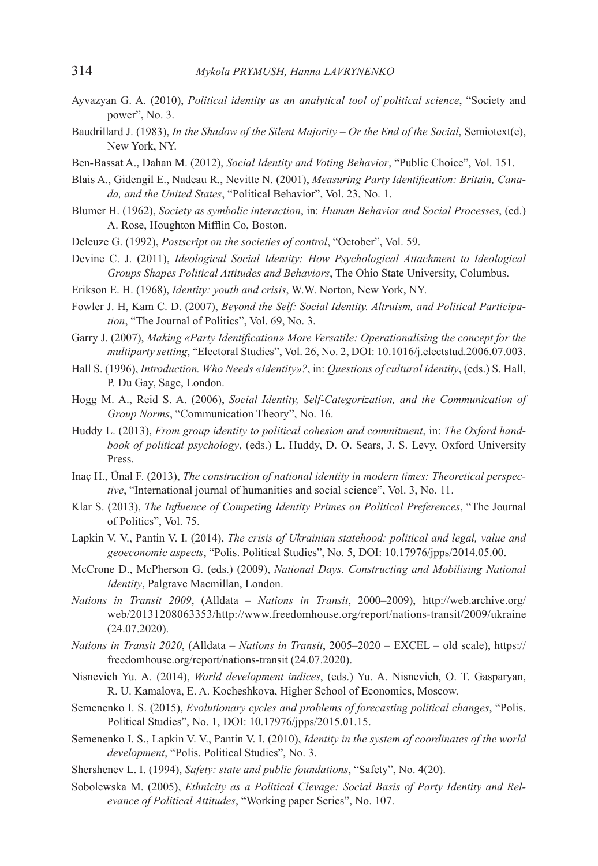- Ayvazyan G. A. (2010), *Political identity as an analytical tool of political science*, "Society and power", No. 3.
- Baudrillard J. (1983), *In the Shadow of the Silent Majority Or the End of the Social*, Semiotext(e), New York, NY.
- Ben-Bassat A., Dahan M. (2012), *Social Identity and Voting Behavior*, "Public Choice", Vol. 151.
- Blais A., Gidengil E., Nadeau R., Nevitte N. (2001), *Measuring Party Identification: Britain, Canada, and the United States*, "Political Behavior", Vol. 23, No. 1.
- Blumer H. (1962), *Society as symbolic interaction*, in: *Human Behavior and Social Processes*, (ed.) A. Rose, Houghton Mifflin Co, Boston.
- Deleuze G. (1992), *Postscript on the societies of control*, "October", Vol. 59.
- Devine C. J. (2011), *Ideological Social Identity: How Psychological Attachment to Ideological Groups Shapes Political Attitudes and Behaviors*, The Ohio State University, Columbus.
- Erikson E. H. (1968), *Identity: youth and crisis*, W.W. Norton, New York, NY.
- Fowler J. H, Kam C. D. (2007), *Beyond the Self: Social Identity. Altruism, and Political Participation*, "The Journal of Politics", Vol. 69, No. 3.
- Garry J. (2007), *Making «Party Identification» More Versatile: Operationalising the concept for the multiparty setting*, "Electoral Studies", Vol. 26, No. 2, DOI: 10.1016/j.electstud.2006.07.003.
- Hall S. (1996), *Introduction. Who Needs «Identity»?*, in: *Questions of cultural identity*, (eds.) S. Hall, P. Du Gay, Sage, London.
- Hogg M. A., Reid S. A. (2006), *Social Identity, Self-Categorization, and the Communication of Group Norms*, "Communication Theory", No. 16.
- Huddy L. (2013), *From group identity to political cohesion and commitment*, in: *The Oxford handbook of political psychology*, (eds.) L. Huddy, D. O. Sears, J. S. Levy, Oxford University Press.
- Inaç H., Ünal F. (2013), *The construction of national identity in modern times: Theoretical perspective*, "International journal of humanities and social science", Vol. 3, No. 11.
- Klar S. (2013), *The Influence of Competing Identity Primes on Political Preferences*, "The Journal of Politics", Vol. 75.
- Lapkin V. V., Pantin V. I. (2014), *The crisis of Ukrainian statehood: political and legal, value and geoeconomic aspects*, "Polis. Political Studies", No. 5, DOI: 10.17976/jpps/2014.05.00.
- McCrone D., McPherson G. (eds.) (2009), *National Days. Constructing and Mobilising National Identity*, Palgrave Macmillan, London.
- *Nations in Transit 2009*, (Alldata *Nations in Transit*, 2000–2009), http://web.archive.org/ web/20131208063353/http://www.freedomhouse.org/report/nations-transit/2009/ukraine (24.07.2020).
- *Nations in Transit 2020*, (Alldata *Nations in Transit*, 2005–2020 EXCEL old scale), https:// freedomhouse.org/report/nations-transit (24.07.2020).
- Nisnevich Yu. A. (2014), *World development indices*, (eds.) Yu. A. Nisnevich, O. T. Gasparyan, R. U. Kamalova, E. A. Kocheshkova, Higher School of Economics, Moscow.
- Semenenko I. S. (2015), *Evolutionary cycles and problems of forecasting political changes*, "Polis. Political Studies", No. 1, DOI: 10.17976/jpps/2015.01.15.
- Semenenko I. S., Lapkin V. V., Pantin V. I. (2010), *Identity in the system of coordinates of the world development*, "Polis. Political Studies", No. 3.
- Shershenev L. I. (1994), *Safety: state and public foundations*, "Safety", No. 4(20).
- Sobolewska M. (2005), *Ethnicity as a Political Clevage: Social Basis of Party Identity and Relevance of Political Attitudes*, "Working paper Series", No. 107.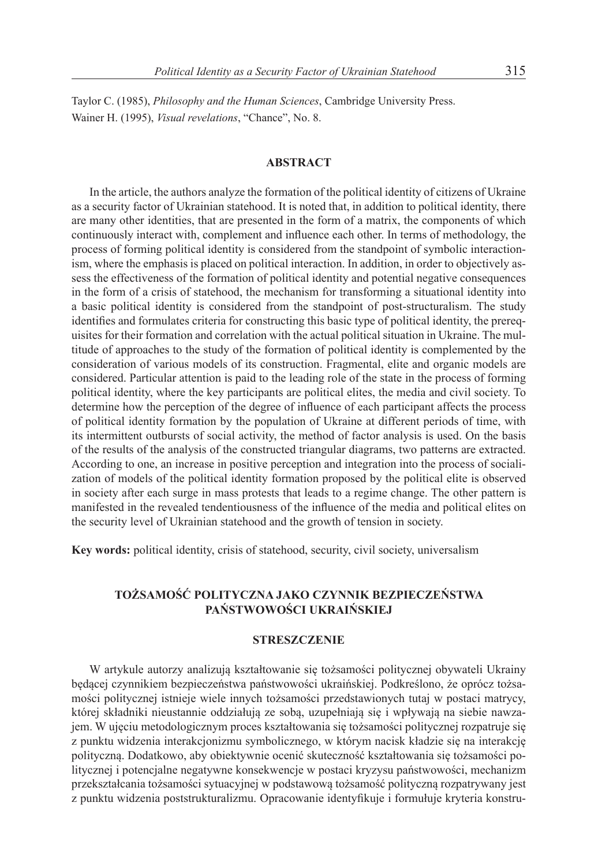Taylor C. (1985), *Philosophy and the Human Sciences*, Cambridge University Press. Wainer H. (1995), *Visual revelations*, "Chance", No. 8.

### **ABSTRACT**

In the article, the authors analyze the formation of the political identity of citizens of Ukraine as a security factor of Ukrainian statehood. It is noted that, in addition to political identity, there are many other identities, that are presented in the form of a matrix, the components of which continuously interact with, complement and influence each other. In terms of methodology, the process of forming political identity is considered from the standpoint of symbolic interactionism, where the emphasis is placed on political interaction. In addition, in order to objectively assess the effectiveness of the formation of political identity and potential negative consequences in the form of a crisis of statehood, the mechanism for transforming a situational identity into a basic political identity is considered from the standpoint of post-structuralism. The study identifies and formulates criteria for constructing this basic type of political identity, the prerequisites for their formation and correlation with the actual political situation in Ukraine. The multitude of approaches to the study of the formation of political identity is complemented by the consideration of various models of its construction. Fragmental, elite and organic models are considered. Particular attention is paid to the leading role of the state in the process of forming political identity, where the key participants are political elites, the media and civil society. To determine how the perception of the degree of influence of each participant affects the process of political identity formation by the population of Ukraine at different periods of time, with its intermittent outbursts of social activity, the method of factor analysis is used. On the basis of the results of the analysis of the constructed triangular diagrams, two patterns are extracted. According to one, an increase in positive perception and integration into the process of socialization of models of the political identity formation proposed by the political elite is observed in society after each surge in mass protests that leads to a regime change. The other pattern is manifested in the revealed tendentiousness of the influence of the media and political elites on the security level of Ukrainian statehood and the growth of tension in society.

**Key words:** political identity, crisis of statehood, security, civil society, universalism

## **TOŻSAMOŚĆ POLITYCZNA JAKO CZYNNIK BEZPIECZEŃSTWA PAŃSTWOWOŚCI UKRAIŃSKIEJ**

### **STRESZCZENIE**

W artykule autorzy analizują kształtowanie się tożsamości politycznej obywateli Ukrainy będącej czynnikiem bezpieczeństwa państwowości ukraińskiej. Podkreślono, że oprócz tożsamości politycznej istnieje wiele innych tożsamości przedstawionych tutaj w postaci matrycy, której składniki nieustannie oddziałują ze sobą, uzupełniają się i wpływają na siebie nawzajem. W ujęciu metodologicznym proces kształtowania się tożsamości politycznej rozpatruje się z punktu widzenia interakcjonizmu symbolicznego, w którym nacisk kładzie się na interakcję polityczną. Dodatkowo, aby obiektywnie ocenić skuteczność kształtowania się tożsamości politycznej i potencjalne negatywne konsekwencje w postaci kryzysu państwowości, mechanizm przekształcania tożsamości sytuacyjnej w podstawową tożsamość polityczną rozpatrywany jest z punktu widzenia poststrukturalizmu. Opracowanie identyfikuje i formułuje kryteria konstru-